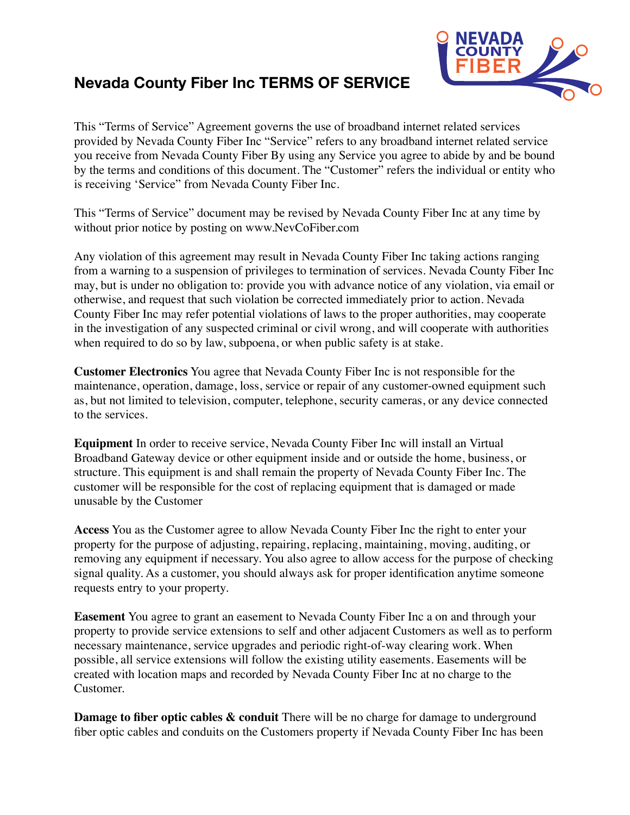# **Nevada County Fiber Inc TERMS OF SERVICE**



This "Terms of Service" Agreement governs the use of broadband internet related services provided by Nevada County Fiber Inc "Service" refers to any broadband internet related service you receive from Nevada County Fiber By using any Service you agree to abide by and be bound by the terms and conditions of this document. The "Customer" refers the individual or entity who is receiving 'Service" from Nevada County Fiber Inc.

This "Terms of Service" document may be revised by Nevada County Fiber Inc at any time by without prior notice by posting on www.NevCoFiber.com

Any violation of this agreement may result in Nevada County Fiber Inc taking actions ranging from a warning to a suspension of privileges to termination of services. Nevada County Fiber Inc may, but is under no obligation to: provide you with advance notice of any violation, via email or otherwise, and request that such violation be corrected immediately prior to action. Nevada County Fiber Inc may refer potential violations of laws to the proper authorities, may cooperate in the investigation of any suspected criminal or civil wrong, and will cooperate with authorities when required to do so by law, subpoena, or when public safety is at stake.

**Customer Electronics** You agree that Nevada County Fiber Inc is not responsible for the maintenance, operation, damage, loss, service or repair of any customer-owned equipment such as, but not limited to television, computer, telephone, security cameras, or any device connected to the services.

**Equipment** In order to receive service, Nevada County Fiber Inc will install an Virtual Broadband Gateway device or other equipment inside and or outside the home, business, or structure. This equipment is and shall remain the property of Nevada County Fiber Inc. The customer will be responsible for the cost of replacing equipment that is damaged or made unusable by the Customer

**Access** You as the Customer agree to allow Nevada County Fiber Inc the right to enter your property for the purpose of adjusting, repairing, replacing, maintaining, moving, auditing, or removing any equipment if necessary. You also agree to allow access for the purpose of checking signal quality. As a customer, you should always ask for proper identification anytime someone requests entry to your property.

**Easement** You agree to grant an easement to Nevada County Fiber Inc a on and through your property to provide service extensions to self and other adjacent Customers as well as to perform necessary maintenance, service upgrades and periodic right-of-way clearing work. When possible, all service extensions will follow the existing utility easements. Easements will be created with location maps and recorded by Nevada County Fiber Inc at no charge to the Customer.

**Damage to fiber optic cables & conduit** There will be no charge for damage to underground fiber optic cables and conduits on the Customers property if Nevada County Fiber Inc has been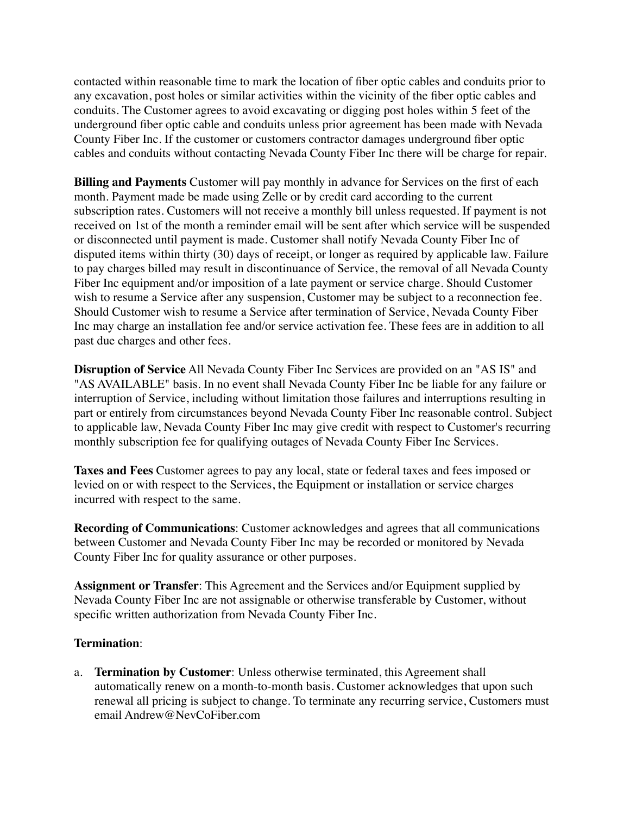contacted within reasonable time to mark the location of fiber optic cables and conduits prior to any excavation, post holes or similar activities within the vicinity of the fiber optic cables and conduits. The Customer agrees to avoid excavating or digging post holes within 5 feet of the underground fiber optic cable and conduits unless prior agreement has been made with Nevada County Fiber Inc. If the customer or customers contractor damages underground fiber optic cables and conduits without contacting Nevada County Fiber Inc there will be charge for repair.

**Billing and Payments** Customer will pay monthly in advance for Services on the first of each month. Payment made be made using Zelle or by credit card according to the current subscription rates. Customers will not receive a monthly bill unless requested. If payment is not received on 1st of the month a reminder email will be sent after which service will be suspended or disconnected until payment is made. Customer shall notify Nevada County Fiber Inc of disputed items within thirty (30) days of receipt, or longer as required by applicable law. Failure to pay charges billed may result in discontinuance of Service, the removal of all Nevada County Fiber Inc equipment and/or imposition of a late payment or service charge. Should Customer wish to resume a Service after any suspension, Customer may be subject to a reconnection fee. Should Customer wish to resume a Service after termination of Service, Nevada County Fiber Inc may charge an installation fee and/or service activation fee. These fees are in addition to all past due charges and other fees.

**Disruption of Service** All Nevada County Fiber Inc Services are provided on an "AS IS" and "AS AVAILABLE" basis. In no event shall Nevada County Fiber Inc be liable for any failure or interruption of Service, including without limitation those failures and interruptions resulting in part or entirely from circumstances beyond Nevada County Fiber Inc reasonable control. Subject to applicable law, Nevada County Fiber Inc may give credit with respect to Customer's recurring monthly subscription fee for qualifying outages of Nevada County Fiber Inc Services.

**Taxes and Fees** Customer agrees to pay any local, state or federal taxes and fees imposed or levied on or with respect to the Services, the Equipment or installation or service charges incurred with respect to the same.

**Recording of Communications**: Customer acknowledges and agrees that all communications between Customer and Nevada County Fiber Inc may be recorded or monitored by Nevada County Fiber Inc for quality assurance or other purposes.

**Assignment or Transfer**: This Agreement and the Services and/or Equipment supplied by Nevada County Fiber Inc are not assignable or otherwise transferable by Customer, without specific written authorization from Nevada County Fiber Inc.

### **Termination**:

a. **Termination by Customer**: Unless otherwise terminated, this Agreement shall automatically renew on a month-to-month basis. Customer acknowledges that upon such renewal all pricing is subject to change. To terminate any recurring service, Customers must email Andrew@NevCoFiber.com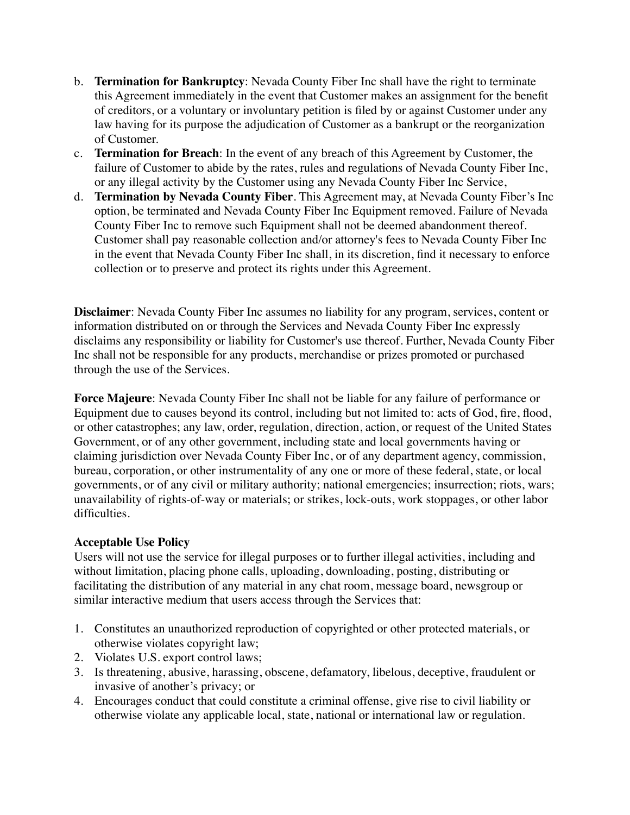- b. **Termination for Bankruptcy**: Nevada County Fiber Inc shall have the right to terminate this Agreement immediately in the event that Customer makes an assignment for the benefit of creditors, or a voluntary or involuntary petition is filed by or against Customer under any law having for its purpose the adjudication of Customer as a bankrupt or the reorganization of Customer.
- c. **Termination for Breach**: In the event of any breach of this Agreement by Customer, the failure of Customer to abide by the rates, rules and regulations of Nevada County Fiber Inc, or any illegal activity by the Customer using any Nevada County Fiber Inc Service,
- d. **Termination by Nevada County Fiber**. This Agreement may, at Nevada County Fiber's Inc option, be terminated and Nevada County Fiber Inc Equipment removed. Failure of Nevada County Fiber Inc to remove such Equipment shall not be deemed abandonment thereof. Customer shall pay reasonable collection and/or attorney's fees to Nevada County Fiber Inc in the event that Nevada County Fiber Inc shall, in its discretion, find it necessary to enforce collection or to preserve and protect its rights under this Agreement.

**Disclaimer**: Nevada County Fiber Inc assumes no liability for any program, services, content or information distributed on or through the Services and Nevada County Fiber Inc expressly disclaims any responsibility or liability for Customer's use thereof. Further, Nevada County Fiber Inc shall not be responsible for any products, merchandise or prizes promoted or purchased through the use of the Services.

**Force Majeure**: Nevada County Fiber Inc shall not be liable for any failure of performance or Equipment due to causes beyond its control, including but not limited to: acts of God, fire, flood, or other catastrophes; any law, order, regulation, direction, action, or request of the United States Government, or of any other government, including state and local governments having or claiming jurisdiction over Nevada County Fiber Inc, or of any department agency, commission, bureau, corporation, or other instrumentality of any one or more of these federal, state, or local governments, or of any civil or military authority; national emergencies; insurrection; riots, wars; unavailability of rights-of-way or materials; or strikes, lock-outs, work stoppages, or other labor difficulties.

## **Acceptable Use Policy**

Users will not use the service for illegal purposes or to further illegal activities, including and without limitation, placing phone calls, uploading, downloading, posting, distributing or facilitating the distribution of any material in any chat room, message board, newsgroup or similar interactive medium that users access through the Services that:

- 1. Constitutes an unauthorized reproduction of copyrighted or other protected materials, or otherwise violates copyright law;
- 2. Violates U.S. export control laws;
- 3. Is threatening, abusive, harassing, obscene, defamatory, libelous, deceptive, fraudulent or invasive of another's privacy; or
- 4. Encourages conduct that could constitute a criminal offense, give rise to civil liability or otherwise violate any applicable local, state, national or international law or regulation.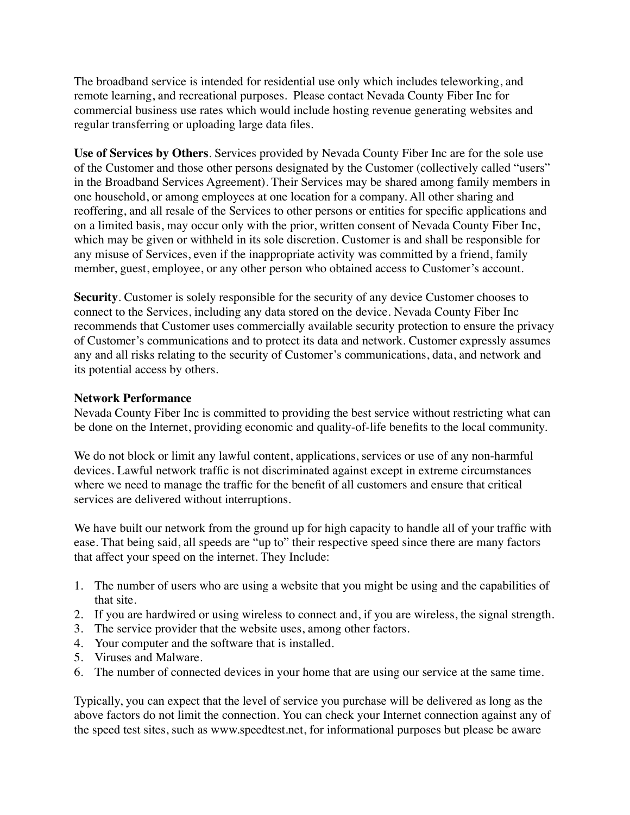The broadband service is intended for residential use only which includes teleworking, and remote learning, and recreational purposes. Please contact Nevada County Fiber Inc for commercial business use rates which would include hosting revenue generating websites and regular transferring or uploading large data files.

**Use of Services by Others**. Services provided by Nevada County Fiber Inc are for the sole use of the Customer and those other persons designated by the Customer (collectively called "users" in the Broadband Services Agreement). Their Services may be shared among family members in one household, or among employees at one location for a company. All other sharing and reoffering, and all resale of the Services to other persons or entities for specific applications and on a limited basis, may occur only with the prior, written consent of Nevada County Fiber Inc, which may be given or withheld in its sole discretion. Customer is and shall be responsible for any misuse of Services, even if the inappropriate activity was committed by a friend, family member, guest, employee, or any other person who obtained access to Customer's account.

**Security**. Customer is solely responsible for the security of any device Customer chooses to connect to the Services, including any data stored on the device. Nevada County Fiber Inc recommends that Customer uses commercially available security protection to ensure the privacy of Customer's communications and to protect its data and network. Customer expressly assumes any and all risks relating to the security of Customer's communications, data, and network and its potential access by others.

### **Network Performance**

Nevada County Fiber Inc is committed to providing the best service without restricting what can be done on the Internet, providing economic and quality-of-life benefits to the local community.

We do not block or limit any lawful content, applications, services or use of any non-harmful devices. Lawful network traffic is not discriminated against except in extreme circumstances where we need to manage the traffic for the benefit of all customers and ensure that critical services are delivered without interruptions.

We have built our network from the ground up for high capacity to handle all of your traffic with ease. That being said, all speeds are "up to" their respective speed since there are many factors that affect your speed on the internet. They Include:

- 1. The number of users who are using a website that you might be using and the capabilities of that site.
- 2. If you are hardwired or using wireless to connect and, if you are wireless, the signal strength.
- 3. The service provider that the website uses, among other factors.
- 4. Your computer and the software that is installed.
- 5. Viruses and Malware.
- 6. The number of connected devices in your home that are using our service at the same time.

Typically, you can expect that the level of service you purchase will be delivered as long as the above factors do not limit the connection. You can check your Internet connection against any of the speed test sites, such as www.speedtest.net, for informational purposes but please be aware